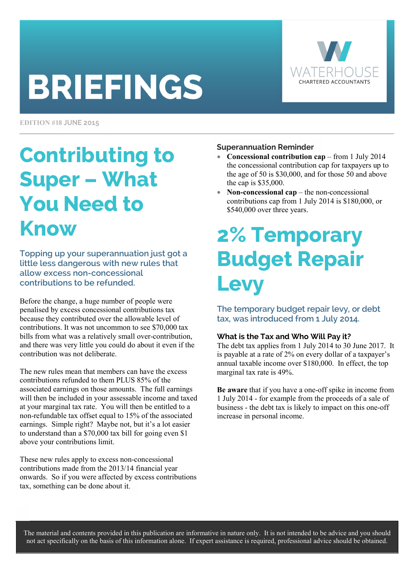# **BRIEFINGS**



**EDITION #18 JUNE 2015** 

### Contributing to Super – What You Need to Know

Topping up your superannuation just got a little less dangerous with new rules that allow excess non-concessional contributions to be refunded.

Before the change, a huge number of people were penalised by excess concessional contributions tax because they contributed over the allowable level of contributions. It was not uncommon to see \$70,000 tax bills from what was a relatively small over-contribution, and there was very little you could do about it even if the contribution was not deliberate.

The new rules mean that members can have the excess contributions refunded to them PLUS 85% of the associated earnings on those amounts. The full earnings will then be included in your assessable income and taxed at your marginal tax rate. You will then be entitled to a non-refundable tax offset equal to 15% of the associated earnings. Simple right? Maybe not, but it's a lot easier to understand than a \$70,000 tax bill for going even \$1 above your contributions limit.

These new rules apply to excess non-concessional contributions made from the 2013/14 financial year onwards. So if you were affected by excess contributions tax, something can be done about it

#### **Superannuation Reminder**

- **Concessional contribution cap** from 1 July 2014 the concessional contribution cap for taxpayers up to the age of 50 is \$30,000, and for those 50 and above the cap is \$35,000.
- **Non-concessional cap** the non-concessional contributions cap from 1 July 2014 is \$180,000, or \$540,000 over three years.

### 2% Temporary Budget Repair **Levy**

The temporary budget repair levy, or debt tax, was introduced from 1 July 2014.

#### **What is the Tax and Who Will Pay it?**

The debt tax applies from 1 July 2014 to 30 June 2017. It is payable at a rate of 2% on every dollar of a taxpayer's annual taxable income over \$180,000. In effect, the top marginal tax rate is 49%.

**Be aware** that if you have a one-off spike in income from 1 July 2014 - for example from the proceeds of a sale of business - the debt tax is likely to impact on this one-off increase in personal income.

The material and contents provided in this publication are informative in nature only. It is not intended to be advice and you should not act specifically on the basis of this information alone. If expert assistance is required, professional advice should be obtained.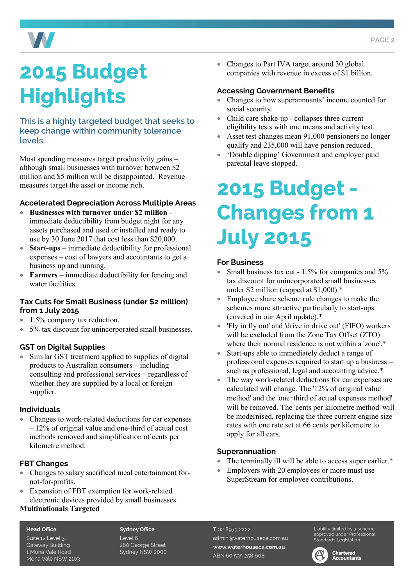

# 2015 Budget **Highlights**

This is a highly targeted budget that seeks to keep change within community tolerance levels.

Most spending measures target productivity gains – although small businesses with turnover between \$2 million and \$5 million will be disappointed. Revenue measures target the asset or income rich.

#### **Accelerated Depreciation Across Multiple Areas**

- **Businesses with turnover under \$2 million** immediate deductibility from budget night for any assets purchased and used or installed and ready to use by 30 June 2017 that cost less than \$20,000.
- **Start-ups** immediate deductibility for professional expenses – cost of lawyers and accountants to get a business up and running.
- **Farmers** immediate deductibility for fencing and water facilities.

#### **Tax Cuts for Small Business (under \$2 million) from 1 July 2015**

- 1.5% company tax reduction.
- 5% tax discount for unincorporated small businesses.

#### **GST on Digital Supplies**

• Similar GST treatment applied to supplies of digital products to Australian consumers – including consulting and professional services – regardless of whether they are supplied by a local or foreign supplier.

#### **Individuals**

• Changes to work-related deductions for car expenses – 12% of original value and one-third of actual cost methods removed and simplification of cents per kilometre method.

#### **FBT Changes**

- Changes to salary sacrificed meal entertainment fornot-for-profits.
- Expansion of FBT exemption for work-related electronic devices provided by small businesses.

#### **Multinationals Targeted**

#### **Head Office**

Suite 12 Level 3, **Gateway Building** 1 Mona Vale Road Mona Vale NSW 2103 **Sydney Office** Level 6 280 George Street Sydney NSW 2000 • Changes to Part IVA target around 30 global companies with revenue in excess of \$1 billion.

#### **Accessing Government Benefits**

- Changes to how superannuants' income counted for social security.
- Child care shake-up collapses three current eligibility tests with one means and activity test.
- Asset test changes mean 91,000 pensioners no longer qualify and 235,000 will have pension reduced.
- 'Double dipping' Government and employer paid parental leave stopped.

### 2015 Budget - Changes from 1 July 2015

#### **For Business**

- Small business tax cut 1.5% for companies and 5% tax discount for unincorporated small businesses under \$2 million (capped at \$1,000).\*
- Employee share scheme rule changes to make the schemes more attractive particularly to start-ups (covered in our April update).\*
- 'Fly in fly out' and 'drive in drive out' (FIFO) workers will be excluded from the Zone Tax Offset (ZTO) where their normal residence is not within a 'zone'.\*
- Start-ups able to immediately deduct a range of professional expenses required to start up a business – such as professional, legal and accounting advice.\*
- The way work-related deductions for car expenses are calculated will change. The '12% of original value method' and the 'one-third of actual expenses method' will be removed. The 'cents per kilometre method' will be modernised, replacing the three current engine size rates with one rate set at 66 cents per kilometre to apply for all cars.

#### **Superannuation**

- The terminally ill will be able to access super earlier.\*
- Employers with 20 employees or more must use SuperStream for employee contributions.

T 02 8973 2222 admin@waterhouseca.com.au www.waterhouseca.com.au ABN 60 535 258 608

Liability limited by a scheme approved under Professional Standards Legislation



**Chartered Accountants**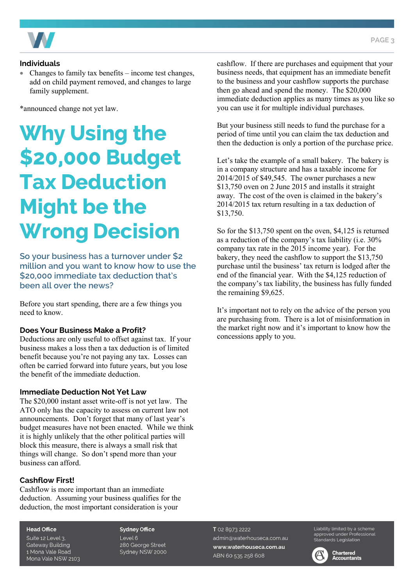

#### **Individuals**

• Changes to family tax benefits – income test changes, add on child payment removed, and changes to large family supplement.

\*announced change not yet law.

# Why Using the \$20,000 Budget Tax Deduction Might be the **Wrong Decision**

So your business has a turnover under \$2 million and you want to know how to use the \$20,000 immediate tax deduction that's been all over the news?

Before you start spending, there are a few things you need to know.

#### **Does Your Business Make a Profit?**

Deductions are only useful to offset against tax. If your business makes a loss then a tax deduction is of limited benefit because you're not paying any tax. Losses can often be carried forward into future years, but you lose the benefit of the immediate deduction.

#### **Immediate Deduction Not Yet Law**

The \$20,000 instant asset write-off is not yet law. The ATO only has the capacity to assess on current law not announcements. Don't forget that many of last year's budget measures have not been enacted. While we think it is highly unlikely that the other political parties will block this measure, there is always a small risk that things will change. So don't spend more than your business can afford.

#### **Cashflow First!**

Cashflow is more important than an immediate deduction. Assuming your business qualifies for the deduction, the most important consideration is your

cashflow. If there are purchases and equipment that your business needs, that equipment has an immediate benefit to the business and your cashflow supports the purchase then go ahead and spend the money. The \$20,000 immediate deduction applies as many times as you like so you can use it for multiple individual purchases.

But your business still needs to fund the purchase for a period of time until you can claim the tax deduction and then the deduction is only a portion of the purchase price.

Let's take the example of a small bakery. The bakery is in a company structure and has a taxable income for 2014/2015 of \$49,545. The owner purchases a new \$13,750 oven on 2 June 2015 and installs it straight away. The cost of the oven is claimed in the bakery's 2014/2015 tax return resulting in a tax deduction of \$13,750.

So for the \$13,750 spent on the oven, \$4,125 is returned as a reduction of the company's tax liability (i.e. 30% company tax rate in the 2015 income year). For the bakery, they need the cashflow to support the \$13,750 purchase until the business' tax return is lodged after the end of the financial year. With the \$4,125 reduction of the company's tax liability, the business has fully funded the remaining \$9,625.

It's important not to rely on the advice of the person you are purchasing from. There is a lot of misinformation in the market right now and it's important to know how the concessions apply to you.

**Head Office** 

Suite 12 Level 3, **Gateway Building** 1 Mona Vale Road Mona Vale NSW 2103 **Sydney Office** Level 6 280 George Street Sydney NSW 2000

#### T 02 8973 2222 admin@waterhouseca.com.au www.waterhouseca.com.au ABN 60 535 258 608

Liability limited by a scheme approved under Professional Standards Legislation



**Chartered Accountants**